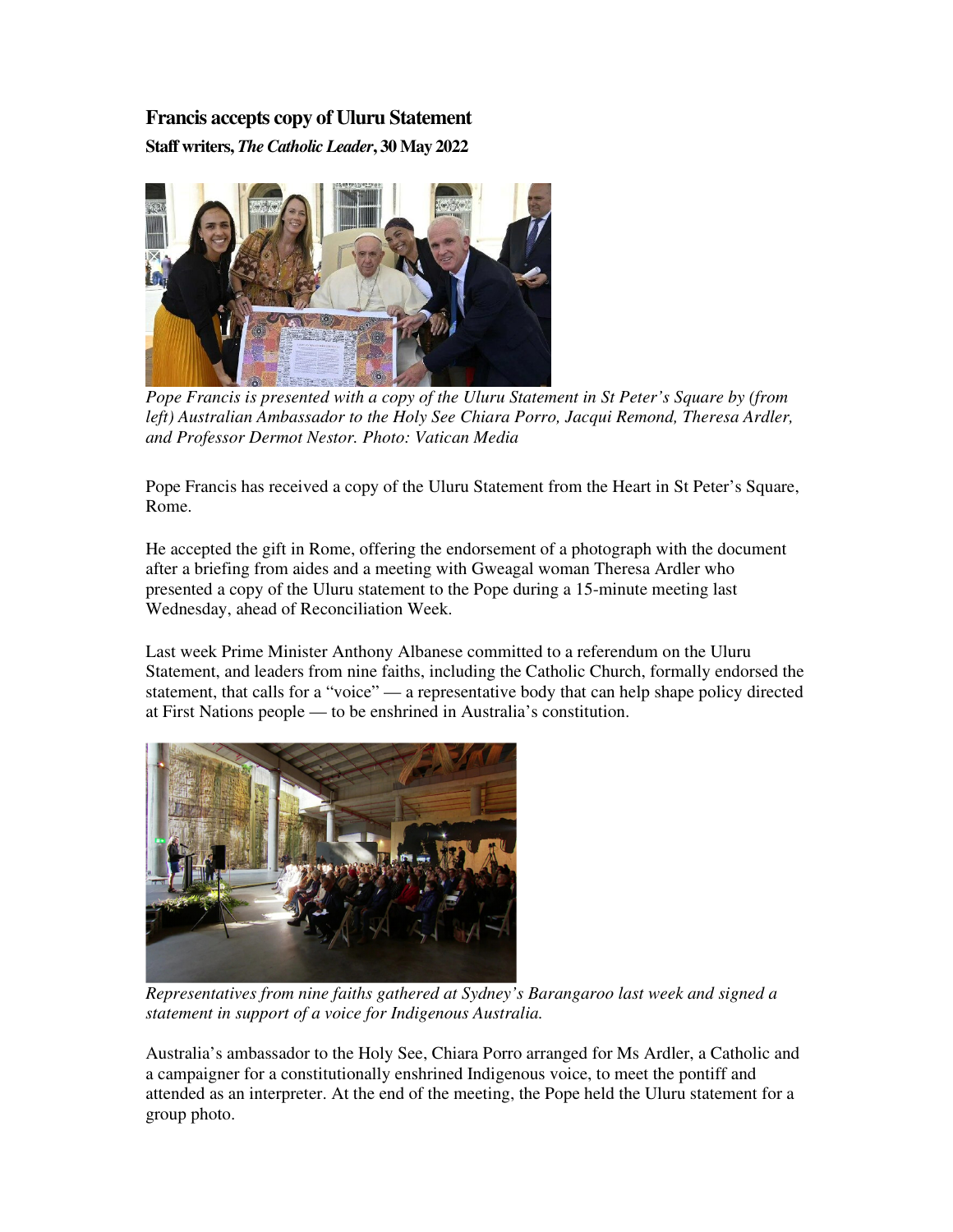## **Francis accepts copy of Uluru Statement**

**Staff writers,** *The Catholic Leader***, 30 May 2022**



*Pope Francis is presented with a copy of the Uluru Statement in St Peter's Square by (from left) Australian Ambassador to the Holy See Chiara Porro, Jacqui Remond, Theresa Ardler, and Professor Dermot Nestor. Photo: Vatican Media* 

Pope Francis has received a copy of the Uluru Statement from the Heart in St Peter's Square, Rome.

He accepted the gift in Rome, offering the endorsement of a photograph with the document after a briefing from aides and a meeting with Gweagal woman Theresa Ardler who presented a copy of the Uluru statement to the Pope during a 15-minute meeting last Wednesday, ahead of Reconciliation Week.

Last week Prime Minister Anthony Albanese committed to a referendum on the Uluru Statement, and leaders from nine faiths, including the Catholic Church, formally endorsed the statement, that calls for a "voice" — a representative body that can help shape policy directed at First Nations people — to be enshrined in Australia's constitution.



*Representatives from nine faiths gathered at Sydney's Barangaroo last week and signed a statement in support of a voice for Indigenous Australia.*

Australia's ambassador to the Holy See, Chiara Porro arranged for Ms Ardler, a Catholic and a campaigner for a constitutionally enshrined Indigenous voice, to meet the pontiff and attended as an interpreter. At the end of the meeting, the Pope held the Uluru statement for a group photo.